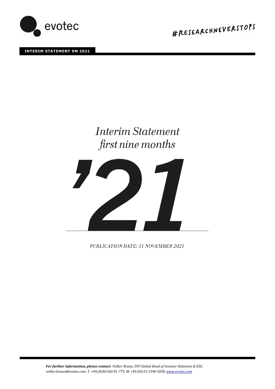

**INTERIM STATEMENT 9M 2021** 

#RESEARCHNEVERSTOPS

# **Interim Statement** first nine months



PUBLICATION DATE: 11 NOVEMBER 2021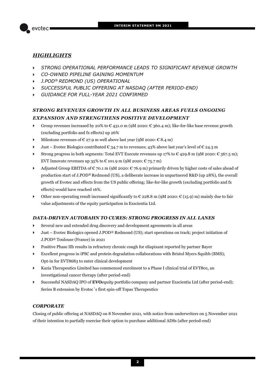

## *HIGHLIGHTS*

- *STRONG OPERATIONAL PERFORMANCE LEADS TO SIGNIFICANT REVENUE GROWTH*
- *CO-OWNED PIPELINE GAINING MOMENTUM*
- *J.POD® REDMOND (US) OPERATIONAL*
- *SUCCESSFUL PUBLIC OFFERING AT NASDAQ (AFTER PERIOD-END)*
- *GUIDANCE FOR FULL-YEAR 2021 CONFIRMED*

## *STRONG REVENUES GROWTH IN ALL BUSINESS AREAS FUELS ONGOING EXPANSION AND STRENGTHENS POSITIVE DEVELOPMENT*

- Group revenues increased by 20% to  $\epsilon$  431.0 m (9M 2020:  $\epsilon$  360.4 m); like-for-like base revenue growth (excluding portfolio and fx effects) up 26%
- Milestone revenues of  $\epsilon$  27.9 m well above last year (9M 2020:  $\epsilon$  8.4 m)
- Just Evotec Biologics contributed  $\epsilon$  34.7 m to revenues; 43% above last year's level of  $\epsilon$  24.3 m
- Strong progress in both segments: Total EVT Execute revenues up 17% to  $\epsilon$  429.8 m (9M 2020:  $\epsilon$  367.5 m); EVT Innovate revenues up 35% to  $\epsilon$  101.9 m (9M 2020:  $\epsilon$  75.7 m)
- Adjusted Group EBITDA of  $\epsilon$  70.1 m (9M 2020:  $\epsilon$  76.9 m) primarily driven by higher costs of sales ahead of production start of J.POD® Redmond (US), a deliberate increase in unpartnered R&D (up 28%), the overall growth of Evotec and effects from the US public offering; like-for-like growth (excluding portfolio and fx effects) would have reached 16%.
- Other non-operating result increased significantly to  $\mathcal C$  228.8 m (9M 2020:  $\mathcal C$  (15.9) m) mainly due to fair value adjustments of the equity participation in Exscientia Ltd.

## *DATA-DRIVEN AUTOBAHN TO CURES: STRONG PROGRESS IN ALL LANES*

- Several new and extended drug discovery and development agreements in all areas
- Just Evotec Biologics opened J.POD® Redmond (US); start operations on track; project initiation of J.POD® Toulouse (France) in 2021
- Positive Phase IIb results in refractory chronic cough for eliapixant reported by partner Bayer
- Excellent progress in iPSC and protein degradation collaborations with Bristol Myers Squibb (BMS); Opt-in for EVT8683 to enter clinical development
- Kazia Therapeutics Limited has commenced enrolment to a Phase I clinical trial of EVT801, an investigational cancer therapy (after period-end)
- Successful NASDAQ IPO of **EVO***equity* portfolio company and partner Exscientia Ltd (after period-end); Series B extension by Evotec`s first spin-off Topas Therapeutics

## *CORPORATE*

Closing of public offering at NASDAQ on 8 November 2021, with notice from underwriters on 5 November 2021 of their intention to partially exercise their option to purchase additional ADSs (after period-end)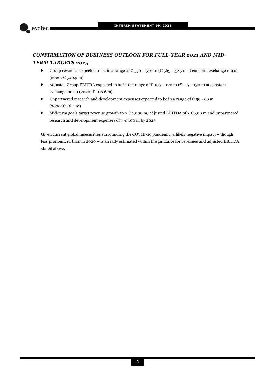

# *CONFIRMATION OF BUSINESS OUTLOOK FOR FULL-YEAR 2021 AND MID-*

## *TERM TARGETS 2025*

- Group revenues expected to be in a range of  $\epsilon$  550 570 m ( $\epsilon$  565 585 m at constant exchange rates)  $(2020: \text{€}500.9 \text{ m})$
- Adjusted Group EBITDA expected to be in the range of  $\epsilon$  105 120 m ( $\epsilon$  115 130 m at constant exchange rates) (2020:  $\mathcal{C}$  106.6 m)
- ▶ Unpartnered research and development expenses expected to be in a range of  $\epsilon$  50 60 m  $(2020: \text{€ } 46.4 \text{ m})$
- Mid-term goals target revenue growth to > € 1,000 m, adjusted EBITDA of ≥ € 300 m and unpartnered research and development expenses of  $> \text{\large\ensuremath{\in}} 100$  m by 2025

Given current global insecurities surrounding the COVID-19 pandemic, a likely negative impact – though less pronounced than in 2020 – is already estimated within the guidance for revenues and adjusted EBITDA stated above.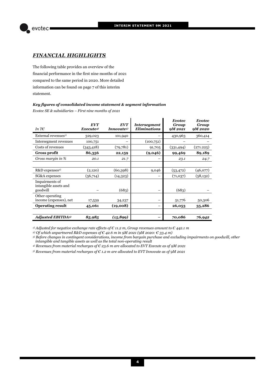

## *FINANCIAL HIGHLIGHTS*

The following table provides an overview of the financial performance in the first nine months of 2021 compared to the same period in 2020. More detailed information can be found on page 7 of this interim statement.

## *Key figures of consolidated income statement & segment information*

*Evotec SE & subsidiaries – First nine months of 2021* 

| In T $\epsilon$                                     | <b>EVT</b><br>Execute <sup>4)</sup> | <b>EVT</b><br>Innovate <sup>5)</sup> | <b>Intersegment</b><br><b>Eliminations</b> | <b>Evotec</b><br>Group<br>9M 2021 | <b>Evotec</b><br>Group<br><b>9M2020</b> |
|-----------------------------------------------------|-------------------------------------|--------------------------------------|--------------------------------------------|-----------------------------------|-----------------------------------------|
| External revenues <sup>1)</sup>                     | 329,023                             | 101,940                              |                                            | 430,963                           | 360,414                                 |
| Intersegment revenues                               | 100,751                             |                                      | (100,751)                                  |                                   |                                         |
| Costs of revenues                                   | (343, 418)                          | (79,781)                             | 91,705                                     | (331, 494)                        | (271.225)                               |
| Gross profit                                        | 86,356                              | 22,159                               | (9,046)                                    | 99,469                            | 89,189                                  |
| Gross margin in %                                   | 20.1                                | 21.7                                 |                                            | 23.1                              | 24.7                                    |
|                                                     |                                     |                                      |                                            |                                   |                                         |
| R&D expenses <sup>2)</sup>                          | (2,120)                             | (60, 398)                            | 9,046                                      | (53, 472)                         | (46,077)                                |
| SG&A expenses                                       | (56,714)                            | (14, 323)                            |                                            | (71,037)                          | (58, 132)                               |
| Impairments of<br>intangible assets and<br>goodwill |                                     | (683)                                |                                            | (683)                             |                                         |
| Other operating<br>income (expenses), net           | 17,539                              | 34,237                               |                                            | 51,776                            | 50,306                                  |
| <b>Operating result</b>                             | 45,061                              | (19,008)                             |                                            | 26,053                            | 35,286                                  |
|                                                     |                                     |                                      |                                            |                                   |                                         |
| <b>Adjusted EBITDA3</b>                             | 85,985                              | (15, 899)                            |                                            | 70,086                            | 76,942                                  |

*1) Adjusted for negative exchange rate effects of € 11.2 m, Group revenues amount to € 442.1 m* 

*2) Of which unpartnered R&D expenses of € 42.6 m in 9M 2021 (9M 2020: € 33.4 m)*

*3) Before changes in contingent considerations, income from bargain purchase and excluding impairments on goodwill, other intangible and tangible assets as well as the total non-operating result* 

*4) Revenues from material recharges of € 23.6 m are allocated to EVT Execute as of 9M 2021* 

*5) Revenues from material recharges of € 1.2 m are allocated to EVT Innovate as of 9M 2021*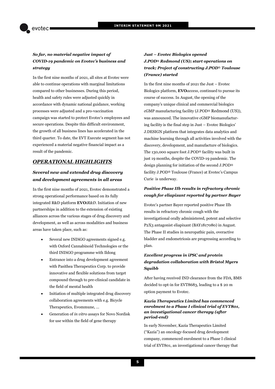## *So far, no material negative impact of COVID-19 pandemic on Evotec's business and strategy*

In the first nine months of 2021, all sites at Evotec were able to continue operations with marginal limitations compared to other businesses. During this period, health and safety rules were adjusted quickly in accordance with dynamic national guidance, working processes were adjusted and a pro-vaccination campaign was started to protect Evotec's employees and secure operations. Despite this difficult environment, the growth of all business lines has accelerated in the third quarter. To date, the EVT Execute segment has not experienced a material negative financial impact as a result of the pandemic.

## *OPERATIONAL HIGHLIGHTS*

## *Several new and extended drug discovery and development agreements in all areas*

In the first nine months of 2021, Evotec demonstrated a strong operational performance based on its fully integrated R&D platform **EVO***iR&D*. Initiation of new partnerships in addition to the extension of existing alliances across the various stages of drug discovery and development, as well as across modalities and business areas have taken place, such as:

- Several new INDiGO agreements signed e.g. with Oxford Cannabinoid Technologies or the third INDiGO programme with Ildong
- Entrance into a drug development agreement with Pasithea Therapeutics Corp. to provide innovative and flexible solutions from target compound through to pre-clinical candidate in the field of mental health
- Initiation of multiple integrated drug discovery collaboration agreements with e.g. Bicycle Therapeutics, Evommune, …
- Generation of *in vitro* assays for Novo Nordisk for use within the field of gene therapy

## *Just – Evotec Biologics opened J.POD® Redmond (US); start operations on track; Project of constructing J.POD*® *Toulouse (France) started*

In the first nine months of 2021 the Just – Evotec Biologics platform, **EVO***access*, continued to pursue its course of success. In August, the opening of the company's unique clinical and commercial biologics cGMP manufacturing facility (J.POD® Redmond (US)), was announced. The innovative cGMP biomanufacturing facility is the final step in Just – Evotec Biologics' J.DESIGN platform that integrates data analytics and machine learning through all activities involved with the discovery, development, and manufacture of biologics. The 130,000 square foot J.POD® facility was built in just 19 months, despite the COVID-19 pandemic. The design planning for initiation of the second J.POD® facility J.POD® Toulouse (France) at Evotec's Campus Curie is underway.

## *Positive Phase IIb results in refractory chronic cough for eliapixant reported by partner Bayer*

Evotec's partner Bayer reported positive Phase IIb results in refractory chronic cough with the investigational orally administered, potent and selective P2X3 antagonist eliapixant (BAY1817080) in August. The Phase II studies in neuropathic pain, overactive bladder and endometriosis are progressing according to plan.

## *Excellent progress in iPSC and protein degradation collaboration with Bristol Myers Squibb*

After having received IND clearance from the FDA, BMS decided to opt-in for EVT8683, leading to a \$ 20 m option payment to Evotec.

## *Kazia Therapeutics Limited has commenced enrolment to a Phase I clinical trial of EVT801, an investigational cancer therapy (after period-end)*

In early November, Kazia Therapeutics Limited ("Kazia") an oncology-focused drug development company, commenced enrolment to a Phase I clinical trial of EVT801, an investigational cancer therapy that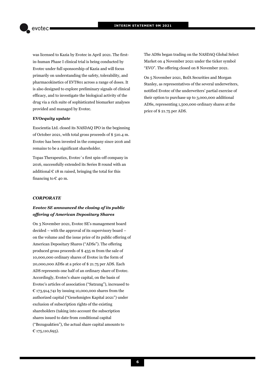was licensed to Kazia by Evotec in April 2021. The firstin-human Phase I clinical trial is being conducted by Evotec under full sponsorship of Kazia and will focus primarily on understanding the safety, tolerability, and pharmacokinetics of EVT801 across a range of doses. It is also designed to explore preliminary signals of clinical efficacy, and to investigate the biological activity of the drug via a rich suite of sophisticated biomarker analyses provided and managed by Evotec.

## **EVO***equity update*

Exscientia Ltd. closed its NASDAQ IPO in the beginning of October 2021, with total gross proceeds of \$ 510.4 m. Evotec has been invested in the company since 2016 and remains to be a significant shareholder.

Topas Therapeutics, Evotec`s first spin-off company in 2016, successfully extended its Series B round with an additional  $\epsilon$  18 m raised, bringing the total for this financing to  $E$  40 m.

## *CORPORATE*

## *Evotec SE announced the closing of its public offering of American Depositary Shares*

On 3 November 2021, Evotec SE's management board decided – with the approval of its supervisory board – on the volume and the issue price of its public offering of American Depositary Shares ("ADSs"). The offering produced gross proceeds of \$ 435 m from the sale of 10,000,000 ordinary shares of Evotec in the form of 20,000,000 ADSs at a price of \$ 21.75 per ADS. Each ADS represents one half of an ordinary share of Evotec. Accordingly, Evotec's share capital, on the basis of Evotec's articles of association ("Satzung"), increased to € 173,914,741 by issuing 10,000,000 shares from the authorized capital ("Genehmigtes Kapital 2021") under exclusion of subscription rights of the existing shareholders (taking into account the subscription shares issued to date from conditional capital ("Bezugsaktien"), the actual share capital amounts to € 175,110,695).

The ADSs began trading on the NASDAQ Global Select Market on 4 November 2021 under the ticker symbol "EVO". The offering closed on 8 November 2021.

On 5 November 2021, BofA Securities and Morgan Stanley, as representatives of the several underwriters, notified Evotec of the underwriters' partial exercise of their option to purchase up to 3,000,000 additional ADSs, representing 1,500,000 ordinary shares at the price of \$ 21.75 per ADS.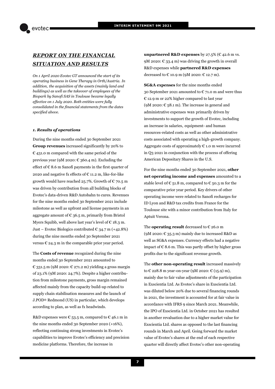# *REPORT ON THE FINANCIAL SITUATION AND RESULTS*

*On 1 April 2020 Evotec GT announced the start of its operating business in Gene Therapy in Orth/Austria. In addition, the acquisition of the assets (mainly land and buildings) as well as the takeover of employees of the Biopark by Sanofi SAS in Toulouse became legally effective on 1 July 2020. Both entities were fully consolidated in the financial statements from the dates specified above.* 

#### *1. Results of operations*

During the nine months ended 30 September 2021 **Group revenues** increased significantly by 20% to  $\epsilon$  431.0 m compared with the same period of the previous year (9M 2020:  $\epsilon$  360.4 m). Excluding the effect of  $\epsilon$  8.6 m Sanofi payments in the first quarter of 2020 and negative fx effects of  $\epsilon$  11.2 m, like-for-like growth would have reached 25.7%. Growth of  $\epsilon$  70.5 m was driven by contribution from all building blocks of Evotec's data-driven R&D Autobahn to cures. Revenues for the nine months ended 30 September 2021 include milestone as well as upfront and license payments in an aggregate amount of  $\epsilon$  36.5 m, primarily from Bristol Myers Squibb, well above last year's level of  $\epsilon$  18.3 m. Just – Evotec Biologics contributed  $\text{\large\ensuremath{\in}}$  34.7 m (+42.8%) during the nine months ended 30 September 2021 versus  $\epsilon$  24.3 m in the comparable prior year period.

The **Costs of revenue** recognized during the nine months ended 30 September 2021 amounted to € 331.5 m (9M 2020: € 271.2 m) yielding a gross margin of 23.1% (9M 2020: 24.7%). Despite a higher contribution from milestone payments, gross margin remained affected mainly from the capacity build-up related to supply chain stabilisation measures and the launch of J.POD® Redmond (US) in particular, which develops according to plan, as well as fx headwinds.

R&D expenses were  $\epsilon$  53.5 m, compared to  $\epsilon$  46.1 m in the nine months ended 30 September 2020 (+16%), reflecting continuing strong investments in Evotec's capabilities to improve Evotec's efficiency and precision medicine platforms. Therefore, the increase in

**unpartnered R&D expenses** by 27.5% ( $\epsilon$  42.6 m vs. 9M 2020:  $\epsilon$  33.4 m) was driving the growth in overall R&D expenses while **partnered R&D expenses** decreased to  $\in$  10.9 m (9M 2020:  $\in$  12.7 m).

**SG&A expenses** for the nine months ended 30 September 2021 amounted to  $\epsilon$  71.0 m and were thus € 12.9 m or 22% higher compared to last year (9M 2020:  $\text{\large\ensuremath{\mathfrak{C}}}$  58.1 m). The increase in general and administrative expenses was primarily driven by investments to support the growth of Evotec, including an increase in salaries, equipment- and human resources-related costs as well as other administrative costs associated with operating a high-growth company. Aggregate costs of approximately  $\epsilon$  1.0 m were incurred in Q3 2021 in conjunction with the process of offering American Depositary Shares in the U.S.

For the nine months ended 30 September 2021, **other net operating income and expenses** amounted to a stable level of  $\epsilon$  51.8 m, compared to  $\epsilon$  50.3 m for the comparative prior year period. Key drivers of other operating income were related to Sanofi recharges for ID Lyon and R&D tax credits from France for the Toulouse site with a minor contribution from Italy for Aptuit Verona.

The **operating result** decreased to € 26.0 m (9M 2020:  $\text{\large\ensuremath{\mathfrak{C}}}$  35.3 m) mainly due to increased R&D as well as SG&A expenses. Currency effects had a negative impact of  $\epsilon$  8.6 m. This was partly offset by higher gross profits due to the significant revenue growth.

The **other non-operating result** increased massively to € 228.8 m year-on-year (9M 2020: € (15.9) m), mainly due to fair value adjustments of the participation in Exscientia Ltd. As Evotec's share in Exscientia Ltd. was diluted below 20% due to several financing rounds in 2021, the investment is accounted for at fair value in accordance with IFRS 9 since March 2021. Meanwhile, the IPO of Exscientia Ltd. in October 2021 has resulted in another revaluation due to a higher market value for Exscientia Ltd. shares as opposed to the last financing rounds in March and April. Going forward the market value of Evotec's shares at the end of each respective quarter will directly affect Evotec's other non-operating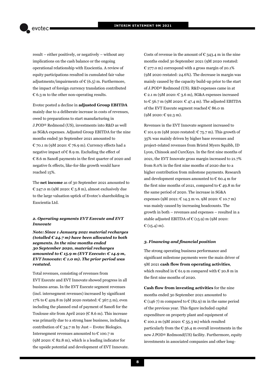result – either positively, or negatively – without any implications on the cash balance or the ongoing operational relationship with Exscientia. A review of equity participations resulted in cumulated fair value adjustments/impairments of  $\epsilon$  (6.5) m. Furthermore, the impact of foreign currency translation contributed  $\epsilon$  6.3 m to the other non-operating results.

Evotec posted a decline in **adjusted Group EBITDA** mainly due to a deliberate increase in costs of revenues, owed to preparations to start manufacturing in J.POD® Redmond (US), investments into R&D as well as SG&A expenses. Adjusted Group EBITDA for the nine months ended 30 September 2021 amounted to € 70.1 m (9M 2020: € 76.9 m). Currency effects had a negative impact of  $\epsilon$  8.9 m. Excluding the effect of € 8.6 m Sanofi payments in the first quarter of 2020 and negative fx effects, like-for-like growth would have reached 15%.

The **net income** as of 30 September 2021 amounted to € 247.0 m (9M 2020: € 5.8 m), almost exclusively due to the large valuation uptick of Evotec's shareholding in Exscientia Ltd.

### *2. Operating segments EVT Execute and EVT Innovate*

*Note: Since 1 January 2021 material recharges (totalled € 24.7 m) have been allocated to both segments. In the nine months ended 30 September 2020, material recharges amounted to € 15.9 m (EVT Execute: € 14.9 m, EVT Innovate: € 1.0 m). The prior period was restated.* 

Total revenues, consisting of revenues from EVT Execute and EVT Innovate showed progress in all business areas. In the EVT Execute segment revenues (incl. intersegment revenues) increased by significant 17% to € 429.8 m (9M 2020 restated: € 367.5 m), even including the planned end of payment of Sanofi for the Toulouse site from April 2020 ( $\in$  8.6 m). This increase was primarily due to a strong base business, including a contribution of  $\epsilon$  34.7 m by Just – Evotec Biologics. Intersegment revenues amounted to  $\epsilon$  100.7 m (9M 2020:  $\in$  82.8 m), which is a leading indicator for the upside potential and development of EVT Innovate.

Costs of revenue in the amount of  $\epsilon$  343.4 m in the nine months ended 30 September 2021 (9M 2020 restated:  $\epsilon$  277.0 m) correspond with a gross margin of 20.1% (9M 2020 restated: 24.6%). The decrease in margin was mainly caused by the capacity build-up prior to the start of J.POD® Redmond (US). R&D expenses came in at  $E$  2.1 m (9M 2020:  $E$  3.6 m), SG&A expenses increased to  $\text{\large\ensuremath{\mathfrak{C}}}$  56.7 m (9M 2020:  $\text{\large\ensuremath{\mathfrak{C}}}$  47.4 m). The adjusted EBITDA of the EVT Execute segment reached  $\in$  86.0 m (9M 2020: € 92.3 m).

Revenues in the EVT Innovate segment increased to € 101.9 m (9M 2020 restated: € 75.7 m). This growth of 35% was mainly driven by higher base revenues and project-related revenues from Bristol Myers Squibb, ID Lyon, Chinook and CureXsys. In the first nine months of 2021, the EVT Innovate gross margin increased to 21.7% from 8.0% in the first nine months of 2020 due to a higher contribution from milestone payments. Research and development expenses amounted to  $\epsilon$  60.4 m for the first nine months of 2021, compared to  $\epsilon$  49.8 m for the same period of 2020. The increase in SG&A expenses (9M 2021: € 14.3 m vs. 9M 2020: € 10.7 m) was mainly caused by increasing headcounts. The growth in both – revenues and expenses – resulted in a stable adjusted EBITDA of  $\mathcal{C}(15.9)$  m (9M 2020:  $E(15.4)$  m).

#### *3. Financing and financial position*

The strong operating business performance and significant milestone payments were the main driver of 9M 2021 **cash flow from operating activities**, which resulted in  $\epsilon$  61.9 m compared with  $\epsilon$  20.8 m in the first nine months of 2020.

**Cash flow from investing activities** for the nine months ended 30 September 2021 amounted to  $\mathcal{E}(1467)$  m compared to  $\mathcal{E}(82.9)$  m in the same period of the previous year. This figure included capital expenditure on property plant and equipment of € 100.2 m (9M 2020: € 55.3 m) which resulted particularly from the  $\epsilon$  56.4 m overall investments in the new J.POD® Redmond(US) facility. Furthermore, equity investments in associated companies and other long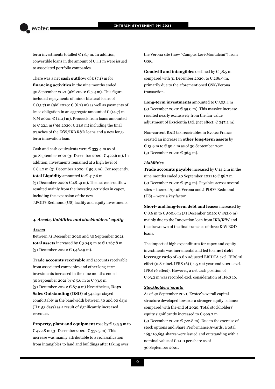term investments totalled  $\in$  18.7 m. In addition, convertible loans in the amount of  $\epsilon$  4.1 m were issued to associated portfolio companies.

There was a net **cash outflow** of  $\in (7.1)$  m for **financing activities** in the nine months ended 30 September 2021 (9M 2020:  $\epsilon$  5.3 m). This figure included repayments of minor bilateral loans of  $\mathcal{E}(15.7)$  m (9M 2020:  $\mathcal{E}(6.2)$  m) as well as payments of lease obligation in an aggregate amount of  $\epsilon$  (14.7) m (9M 2020:  $\mathcal{C}(11.1)$  m). Proceeds from loans amounted to  $\epsilon$  22.1 m (9M 2020:  $\epsilon$  21.5 m) including the final tranches of the KfW/IKB R&D loans and a new longterm innovation loan.

Cash and cash equivalents were  $\epsilon$  333.4 m as of 30 September 2021 (31 December 2020: € 422.6 m). In addition, investments remained at a high level of € 84.2 m (31 December 2020: € 59.3 m). Consequently, **total Liquidity** amounted to € 417.6 m (31 December 2020:  $\epsilon$  481.9 m). The net cash-outflow resulted mainly from the investing activities in capex, including the expansion of the new J.POD® Redmond (US) facility and equity investments.

#### *4. Assets, liabilities and stockholders' equity*

#### *Assets*

Between 31 December 2020 and 30 September 2021, **total assets** increased by  $\epsilon$  304.9 m to  $\epsilon$  1,767.8 m (31 December 2020: € 1,462.9 m).

**Trade accounts receivable** and accounts receivable from associated companies and other long-term investments increased in the nine months ended 30 September 2021 by € 5.6 m to € 93.5 m (31 December 2020: € 87.9 m) Nevertheless, **Days Sales Outstanding (DSO)** of 54 days stayed comfortably in the bandwidth between 50 and 60 days (H1: 53 days) as a result of significantly increased revenues.

**Property, plant and equipment** rose by € 135.5 m to € 472.8 m (31 December 2020: € 337.3 m). This increase was mainly attributable to a reclassification from intangibles to land and buildings after taking over

the Verona site (now "Campus Levi-Montalcini") from GSK.

**Goodwill and intangibles** declined by  $\epsilon$  58.5 m compared with 31 December 2020, to  $\epsilon$  286.9 m, primarily due to the aforementioned GSK/Verona transaction.

**Long-term investments** amounted to  $\epsilon$  303.4 m (31 December 2020:  $\epsilon$  59.0 m). This massive increase resulted nearly exclusively from the fair value adjustment of Exscientia Ltd. (net effect:  $\epsilon$  247.2 m).

Non-current R&D tax receivables in Evotec France created an increase in **other long-term assets** by € 13.9 m to € 50.4 m as of 30 September 2021 (31 December 2020: € 36.5 m).

#### *Liabilities*

**Trade accounts payable** increased by € 14.2 m in the nine months ended 30 September 2021 to € 56.7 m (31 December 2020:  $\epsilon$  42.5 m). Payables across several sites – thereof Aptuit Verona and J.POD® Redmond (US) – were a key factor.

**Short- and long-term debt and leases** increased by € 8.6 m to € 500.6 m (31 December 2020: € 492.0 m) mainly due to the Innovation loan from IKB/KfW and the drawdown of the final tranches of three KfW R&D loans.

The impact of high expenditures for capex and equity investments was incremental and led to a **net debt leverage ratio** of -0.8 x adjusted EBIDTA excl. IFRS 16 effect (0.8 x incl. IFRS 16) (-1.5 x at year-end 2020, excl. IFRS 16 effect). However, a net cash position of € 63.2 m was recorded excl. consideration of IFRS 16.

#### *Stockholders' equity*

As of 30 September 2021, Evotec's overall capital structure developed towards a stronger equity balance compared with the end of 2020. Total stockholders' equity significantly increased to  $\epsilon$  999.2 m (31 December 2020:  $\mathcal{C}$  722.8 m). Due to the exercise of stock options and Share Performance Awards, a total 165,110,695 shares were issued and outstanding with a nominal value of  $\epsilon$  1.00 per share as of 30 September 2021.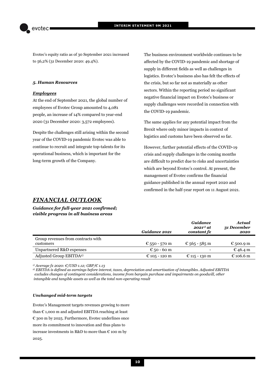Evotec's equity ratio as of 30 September 2021 increased to 56,2% (31 December 2020: 49.4%).

#### *5. Human Resources*

### *Employees*

At the end of September 2021, the global number of employees of Evotec Group amounted to 4,081 people, an increase of 14% compared to year-end 2020 (31 December 2020: 3,572 employees).

Despite the challenges still arising within the second year of the COVID-19 pandemic Evotec was able to continue to recruit and integrate top-talents for its operational business, which is important for the long-term growth of the Company.

The business environment worldwide continues to be affected by the COVID-19 pandemic and shortage of supply in different fields as well as challenges in logistics. Evotec's business also has felt the effects of the crisis, but so far not as materially as other sectors. Within the reporting period no significant negative financial impact on Evotec's business or supply challenges were recorded in connection with the COVID-19 pandemic.

The same applies for any potential impact from the Brexit where only minor impacts in context of logistics and customs have been observed so far.

However, further potential effects of the COVID-19 crisis and supply challenges in the coming months are difficult to predict due to risks and uncertainties which are beyond Evotec's control. At present, the management of Evotec confirms the financial guidance published in the annual report 2020 and confirmed in the half-year report on 11 August 2021.

*Guidance* 

*Actual* 

## *FINANCIAL OUTLOOK*

*Guidance for full-year 2021 confirmed; visible progress in all business areas* 

|                                                 | Guidance 2021 | Guuance<br>$2021^{1}$ at<br>constant fx | acıudi<br>31 December<br>2020 |
|-------------------------------------------------|---------------|-----------------------------------------|-------------------------------|
| Group revenues from contracts with<br>customers | € 550 - 570 m | € 565 - 585 m                           | € 500.9 m                     |
| Unpartnered R&D expenses                        | € 50 - 60 m   |                                         | $E$ 46.4 m                    |
| Adjusted Group EBITDA <sup>2)</sup>             | € 105 - 120 m | € 115 - 130 m                           | € 106.6 m                     |

*1) Average fx 2020: €/USD 1.12; GBP/€ 1.13* 

*2) EBITDA is defined as earnings before interest, taxes, depreciation and amortisation of intangibles. Adjusted EBITDA excludes changes of contingent considerations, income from bargain purchase and impairments on goodwill, other intangible and tangible assets as well as the total non-operating result* 

#### *Unchanged mid-term targets*

Evotec's Management targets revenues growing to more than € 1,000 m and adjusted EBITDA reaching at least € 300 m by 2025. Furthermore, Evotec underlines once more its commitment to innovation and thus plans to increase investments in R&D to more than  $\epsilon$  100 m by 2025.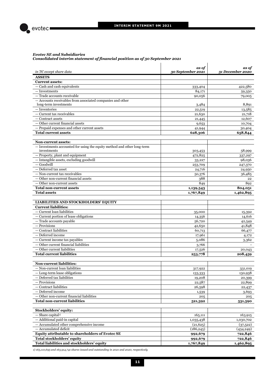

#### *Evotec SE and Subsidiaries Consolidated interim statement of financial position as of 30 September 2021*

| in TC except share data                                                 | as of<br>30 September 2021 | as of<br>31 December 2020 |
|-------------------------------------------------------------------------|----------------------------|---------------------------|
| <b>ASSETS</b>                                                           |                            |                           |
| <b>Current assets:</b>                                                  |                            |                           |
| - Cash and cash equivalents                                             | 333,404                    | 422,580                   |
| - Investments                                                           | 84,171                     | 59,350                    |
| - Trade accounts receivable                                             | 90,056                     | 79,005                    |
| - Accounts receivables from associated companies and other              |                            |                           |
| long-term investments                                                   | 3,484                      | 8,891                     |
| - Inventories                                                           | 22,519                     | 13,585                    |
| - Current tax receivables                                               | 21,630                     | 21,718                    |
| - Contract assets                                                       | 21,445                     | 12,607                    |
| $-$ Other current financial assets                                      | 9,653                      | 10,704                    |
| - Prepaid expenses and other current assets                             | 41,944                     | 30,404                    |
| <b>Total current assets</b>                                             | 628,306                    | 658,844                   |
|                                                                         |                            |                           |
| <b>Non-current assets:</b>                                              |                            |                           |
| - Investments accounted for using the equity method and other long-term |                            |                           |
| investments                                                             | 303,453                    | 58,999                    |
| - Property, plant and equipment                                         | 472,825                    | 337,297                   |
| - Intangible assets, excluding goodwill                                 | 33,227                     | 98,036                    |
| $-$ Goodwill                                                            | 253,709                    | 247,370                   |
| - Deferred tax asset                                                    | 24,716                     | 24,950                    |
| - Non-current tax receivables                                           | 50,376                     | 36,485                    |
| $-$ Other non-current financial assets                                  | 388                        | 22                        |
| - Other non-current assets                                              | 849                        | 892                       |
| Total non-current assets                                                | 1,139,543                  | 804,051                   |
| <b>Total assets</b>                                                     | 1,767,849                  | 1,462,895                 |
|                                                                         |                            |                           |
| <b>LIABILITIES AND STOCKHOLDERS' EQUITY</b>                             |                            |                           |
| <b>Current liabilities:</b>                                             |                            |                           |
| - Current loan liabilities                                              | 35,000                     | 15,392                    |
| - Current portion of lease obligations                                  | 14,356                     | 14,616                    |
| - Trade accounts payable                                                | 56,720                     | 42,549                    |
| - Provisions                                                            | 42,650                     | 41,848                    |
| — Contract liabilities                                                  | 60,713                     | 66,477                    |
| - Deferred income                                                       | 17,961                     | 4,172                     |
| $-$ Current income tax payables                                         | 5,086                      | 3,362                     |
| - Other current financial liabilities                                   | 3,766                      |                           |
| — Other current liabilities                                             | 17,526                     | 20,043                    |
| <b>Total current liabilities</b>                                        | 253,778                    | 208,459                   |
|                                                                         |                            |                           |
| <b>Non-current liabilities:</b>                                         |                            |                           |
| Non-current loan liabilities                                            | 317,922                    | 331,019                   |
| - Long-term lease obligations                                           | 133,333                    | 130,938                   |
| - Deferred tax liabilities                                              | 19,208                     | 20,399                    |
| - Provisions                                                            | 22,587                     | 22,899                    |
| $-$ Contract liabilities                                                | 26,598                     | 22,437                    |
| - Deferred income                                                       | 1,539                      | 3,693                     |
| - Other non-current financial liabilities                               | 205                        | 205                       |
| <b>Total non-current liabilities</b>                                    | 521,392                    | 531,590                   |
|                                                                         |                            |                           |
| Stockholders' equity:                                                   |                            |                           |
| $-$ Share capital <sup>1)</sup>                                         | 165,111                    | 163,915                   |
| - Additional paid-in capital                                            | 1,035,438                  | 1,030,702                 |
| - Accumulated other comprehensive income                                | (21,625)                   | (37,522)                  |
| - Accumulated deficit                                                   | (186, 245)                 | (434, 249)                |
| Equity attributable to shareholders of Evotec SE                        | 992,679                    | 722,846                   |
| Total stockholders' equity                                              | 992,679                    | 722,846                   |
| Total liabilities and stockholders' equity                              | 1,767,849                  | 1,462,895                 |
|                                                                         |                            |                           |

*1) 165,110,695 and 163,914,741 shares issued and outstanding in 2021 and 2020, respectively*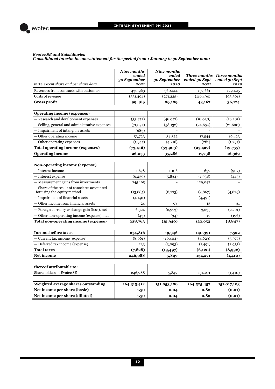

#### *Evotec SE and Subsidiaries*

*Consolidated interim income statement for the period from 1 January to 30 September 2020*

| in TC except share and per share data                                        | Nine months<br>ended<br>30 September<br>2021 | <b>Nine months</b><br>ended<br>30 September<br>2020 | <b>Three months</b><br>ended 30 Sept<br>2021 | <b>Three months</b><br>ended 30 Sept<br>2020 |
|------------------------------------------------------------------------------|----------------------------------------------|-----------------------------------------------------|----------------------------------------------|----------------------------------------------|
| Revenues from contracts with customers                                       | 430,963                                      | 360,414                                             | 159,661                                      | 129,425                                      |
| Costs of revenue                                                             | (331, 494)                                   | (271, 225)                                          | (116, 494)                                   | (93,301)                                     |
| <b>Gross profit</b>                                                          | 99,469                                       | 89,189                                              | 43,167                                       | 36,124                                       |
| <b>Operating income (expenses)</b>                                           |                                              |                                                     |                                              |                                              |
| Research and development expenses                                            | (53, 472)                                    | (46,077)                                            | (18,038)                                     | (16, 281)                                    |
| - Selling, general and administrative expenses                               | (71,037)                                     | (58, 132)                                           | (24, 654)                                    | (21,600)                                     |
| $-$ Impairment of intangible assets                                          | (683)                                        |                                                     |                                              |                                              |
| - Other operating income                                                     | 53,723                                       | 54,522                                              | 17,544                                       | 19,423                                       |
| - Other operating expenses                                                   | (1, 947)                                     | (4,216)                                             | (281)                                        | (1,297)                                      |
| <b>Total operating income (expenses)</b>                                     | (73, 416)                                    | (53,903)                                            | (25, 429)                                    | (19,755)                                     |
| <b>Operating income</b>                                                      | 26,053                                       | 35,286                                              | 17,738                                       | 16,369                                       |
|                                                                              |                                              |                                                     |                                              |                                              |
| Non-operating income (expense)                                               |                                              |                                                     |                                              |                                              |
| - Interest income                                                            | 1,678                                        | 1,106                                               | 637                                          | (907)                                        |
| - Interest expense                                                           | (6,239)                                      | (5,834)                                             | (1,938)                                      | (445)                                        |
| — Measurement gains from investments                                         | 245,195                                      |                                                     | 129,047                                      |                                              |
| - Share of the result of associates accounted<br>for using the equity method | (13,685)                                     | (8,273)                                             | (3,867)                                      | (4,629)                                      |
| - Impairment of financial assets                                             | (4,491)                                      |                                                     | (4,491)                                      |                                              |
| — Other income from financial assets                                         | 24                                           | 68                                                  | 13                                           | 31                                           |
| — Foreign currency exchange gain (loss), net                                 | 6,324                                        | (2,973)                                             | 3,235                                        | (2,701)                                      |
| - Other non-operating income (expense), net                                  | (43)                                         | (34)                                                | 17                                           | (196)                                        |
| Total non-operating income (expense)                                         | 228,763                                      | (15, 940)                                           | 122,653                                      | (8, 847)                                     |
|                                                                              |                                              |                                                     |                                              |                                              |
| <b>Income before taxes</b>                                                   | 254,816                                      | 19,346                                              | 140,391                                      | 7,522                                        |
| - Current tax income (expense)                                               | (8,061)                                      | (10, 404)                                           | (4,629)                                      | (5,977)                                      |
| - Deferred tax income (expense)                                              | 233                                          | (3,093)                                             | (1, 491)                                     | (2,955)                                      |
| <b>Total taxes</b>                                                           | (7,828)                                      | (13, 497)                                           | (6,120)                                      | (8,932)                                      |
| <b>Net income</b>                                                            | 246,988                                      | 5,849                                               | 134,271                                      | (1,410)                                      |
| thereof attributable to:                                                     |                                              |                                                     |                                              |                                              |
| <b>Shareholders of Evotec SE</b>                                             | 246,988                                      | 5,849                                               | 134,271                                      | (1,410)                                      |
|                                                                              |                                              |                                                     |                                              |                                              |
| Weighted average shares outstanding                                          | 164,315,412                                  | 151,053,186                                         | 164,525,457                                  | 151,017,103                                  |
| Net income per share (basic)                                                 | 1.50                                         | 0.04                                                | 0.82                                         | (0.01)                                       |
| Net income per share (diluted)                                               | 1.50                                         | 0.04                                                | 0.82                                         | (0.01)                                       |